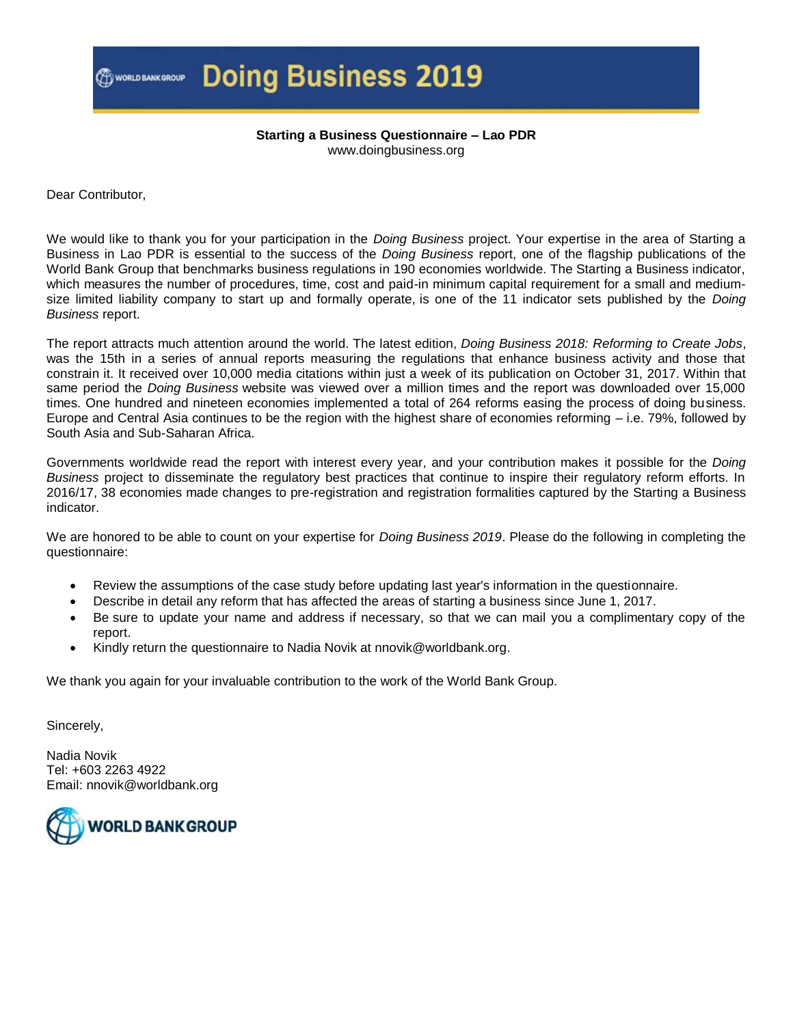### **Doing Business 2019**

#### **Starting a Business Questionnaire – Lao PDR** www.doingbusiness.org

Dear Contributor,

We would like to thank you for your participation in the *Doing Business* project. Your expertise in the area of Starting a Business in Lao PDR is essential to the success of the *Doing Business* report, one of the flagship publications of the World Bank Group that benchmarks business regulations in 190 economies worldwide. The Starting a Business indicator, which measures the number of procedures, time, cost and paid-in minimum capital requirement for a small and mediumsize limited liability company to start up and formally operate, is one of the 11 indicator sets published by the *Doing Business* report.

The report attracts much attention around the world. The latest edition, *Doing Business 2018: Reforming to Create Jobs*, was the 15th in a series of annual reports measuring the regulations that enhance business activity and those that constrain it. It received over 10,000 media citations within just a week of its publication on October 31, 2017. Within that same period the *Doing Business* website was viewed over a million times and the report was downloaded over 15,000 times. One hundred and nineteen economies implemented a total of 264 reforms easing the process of doing business. Europe and Central Asia continues to be the region with the highest share of economies reforming – i.e. 79%, followed by South Asia and Sub-Saharan Africa.

Governments worldwide read the report with interest every year, and your contribution makes it possible for the *Doing Business* project to disseminate the regulatory best practices that continue to inspire their regulatory reform efforts. In 2016/17, 38 economies made changes to pre-registration and registration formalities captured by the Starting a Business indicator.

We are honored to be able to count on your expertise for *Doing Business 2019*. Please do the following in completing the questionnaire:

- Review the assumptions of the case study before updating last year's information in the questionnaire.
- Describe in detail any reform that has affected the areas of starting a business since June 1, 2017.
- Be sure to update your name and address if necessary, so that we can mail you a complimentary copy of the report.
- Kindly return the questionnaire to Nadia Novik at nnovik@worldbank.org.

We thank you again for your invaluable contribution to the work of the World Bank Group.

Sincerely,

Nadia Novik Tel: +603 2263 4922 Email: nnovik@worldbank.org

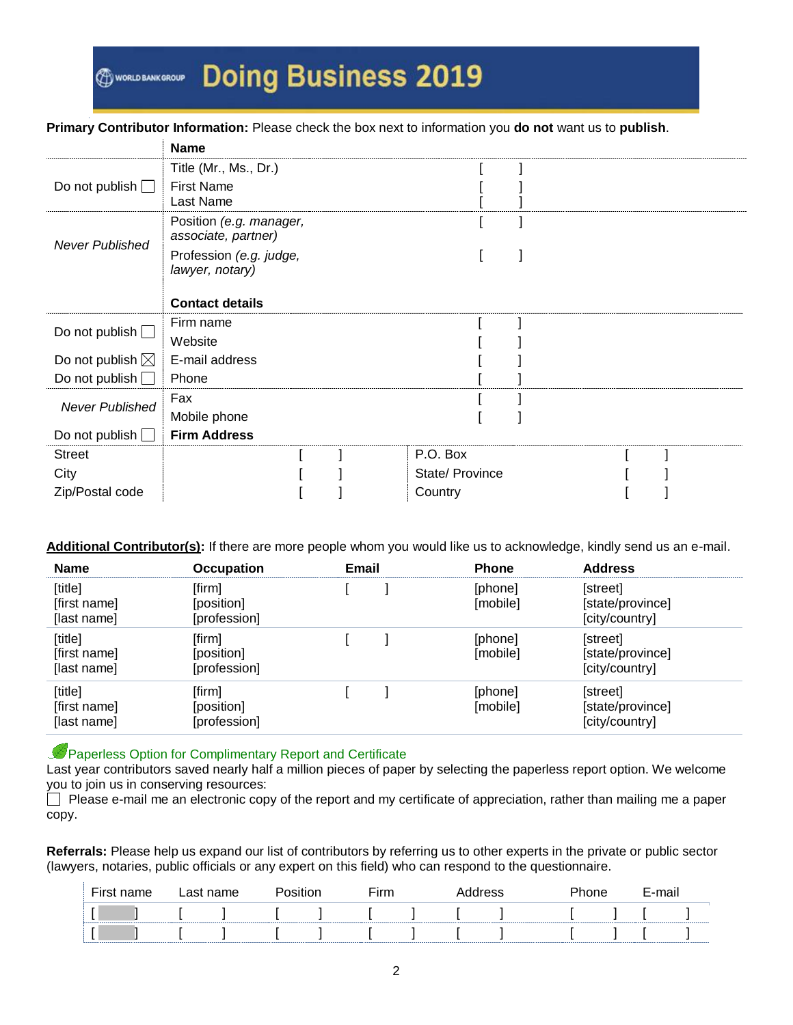#### **Primary Contributor Information:** Please check the box next to information you **do not** want us to **publish**.

|                            | <b>Name</b>                                    |                 |  |  |
|----------------------------|------------------------------------------------|-----------------|--|--|
|                            | Title (Mr., Ms., Dr.)                          |                 |  |  |
| Do not publish $\Box$      | <b>First Name</b>                              |                 |  |  |
|                            | Last Name                                      |                 |  |  |
| <b>Never Published</b>     | Position (e.g. manager,<br>associate, partner) |                 |  |  |
|                            | Profession (e.g. judge,<br>lawyer, notary)     |                 |  |  |
|                            | <b>Contact details</b>                         |                 |  |  |
| Do not publish $\square$   | Firm name                                      |                 |  |  |
|                            | Website                                        |                 |  |  |
| Do not publish $\boxtimes$ | E-mail address                                 |                 |  |  |
| Do not publish $\Box$      | Phone                                          |                 |  |  |
| <b>Never Published</b>     | Fax                                            |                 |  |  |
|                            | Mobile phone                                   |                 |  |  |
| Do not publish $\Box$      | <b>Firm Address</b>                            |                 |  |  |
| <b>Street</b>              |                                                | P.O. Box        |  |  |
| City                       |                                                | State/ Province |  |  |
| Zip/Postal code            |                                                | Country         |  |  |

#### **Additional Contributor(s):** If there are more people whom you would like us to acknowledge, kindly send us an e-mail.

| <b>Name</b>                            | <b>Occupation</b>                    | <b>Email</b> | <b>Phone</b>        | <b>Address</b>                                 |
|----------------------------------------|--------------------------------------|--------------|---------------------|------------------------------------------------|
| [title]<br>[first name]<br>[last name] | [firm]<br>[position]<br>[profession] |              | [phone]<br>[mobile] | [street]<br>[state/province]<br>[city/country] |
| [title]<br>[first name]<br>[last name] | [firm]<br>[position]<br>[profession] |              | [phone]<br>[mobile] | [street]<br>[state/province]<br>[city/country] |
| [title]<br>[first name]<br>[last name] | [firm]<br>[position]<br>[profession] |              | [phone]<br>[mobile] | [street]<br>[state/province]<br>[city/country] |

#### **Paperless Option for Complimentary Report and Certificate**

Last year contributors saved nearly half a million pieces of paper by selecting the paperless report option. We welcome you to join us in conserving resources:

 Please e-mail me an electronic copy of the report and my certificate of appreciation, rather than mailing me a paper copy.

**Referrals:** Please help us expand our list of contributors by referring us to other experts in the private or public sector (lawyers, notaries, public officials or any expert on this field) who can respond to the questionnaire.

| First name | Last name | Position | ⊆irm | Address | Phone | E-mail |  |
|------------|-----------|----------|------|---------|-------|--------|--|
|            |           |          |      |         |       |        |  |
|            |           |          |      |         |       |        |  |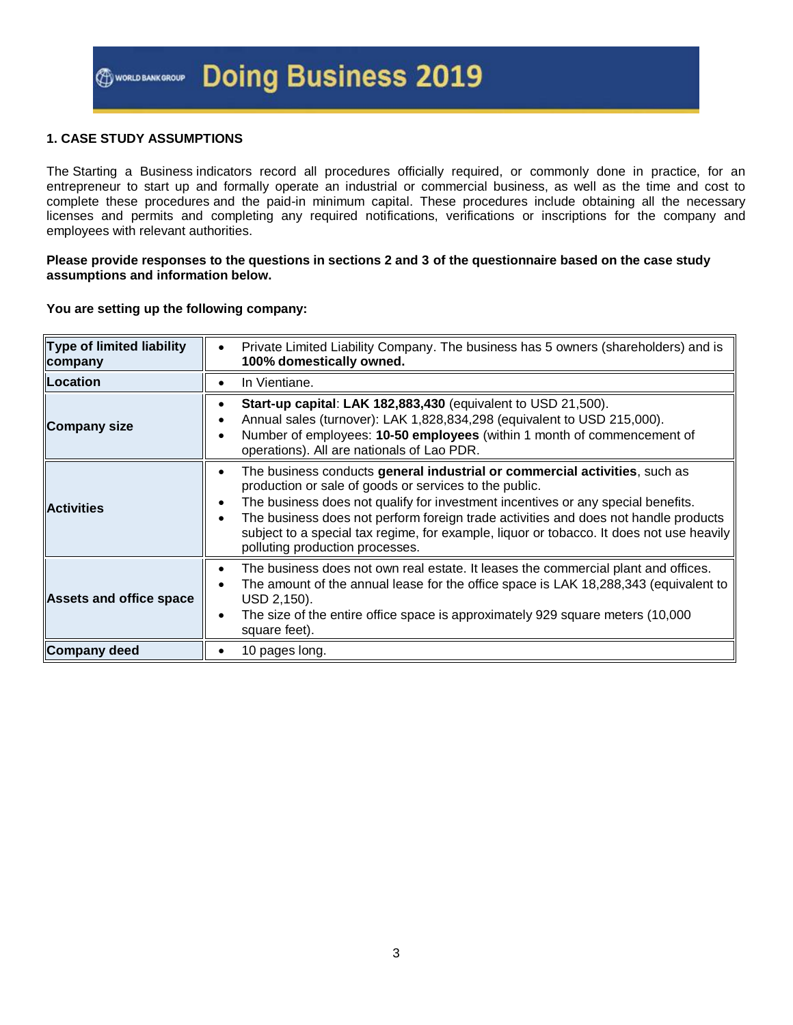#### **1. CASE STUDY ASSUMPTIONS**

The Starting a Business indicators record all procedures officially required, or commonly done in practice, for an entrepreneur to start up and formally operate an industrial or commercial business, as well as the time and cost to complete these procedures and the paid-in minimum capital. These procedures include obtaining all the necessary licenses and permits and completing any required notifications, verifications or inscriptions for the company and employees with relevant authorities.

#### **Please provide responses to the questions in sections 2 and 3 of the questionnaire based on the case study assumptions and information below.**

#### **You are setting up the following company:**

| <b>Type of limited liability</b><br>company | Private Limited Liability Company. The business has 5 owners (shareholders) and is<br>100% domestically owned.                                                                                                                                                                                                                                                                                                                                                   |
|---------------------------------------------|------------------------------------------------------------------------------------------------------------------------------------------------------------------------------------------------------------------------------------------------------------------------------------------------------------------------------------------------------------------------------------------------------------------------------------------------------------------|
| Location                                    | In Vientiane.                                                                                                                                                                                                                                                                                                                                                                                                                                                    |
| <b>Company size</b>                         | Start-up capital: LAK 182,883,430 (equivalent to USD 21,500).<br>Annual sales (turnover): LAK 1,828,834,298 (equivalent to USD 215,000).<br>Number of employees: 10-50 employees (within 1 month of commencement of<br>operations). All are nationals of Lao PDR.                                                                                                                                                                                                |
| <b>Activities</b>                           | The business conducts general industrial or commercial activities, such as<br>$\bullet$<br>production or sale of goods or services to the public.<br>The business does not qualify for investment incentives or any special benefits.<br>٠<br>The business does not perform foreign trade activities and does not handle products<br>subject to a special tax regime, for example, liquor or tobacco. It does not use heavily<br>polluting production processes. |
| <b>Assets and office space</b>              | The business does not own real estate. It leases the commercial plant and offices.<br>$\bullet$<br>The amount of the annual lease for the office space is LAK 18,288,343 (equivalent to<br>USD 2,150).<br>The size of the entire office space is approximately 929 square meters (10,000<br>$\bullet$<br>square feet).                                                                                                                                           |
| <b>Company deed</b>                         | 10 pages long.                                                                                                                                                                                                                                                                                                                                                                                                                                                   |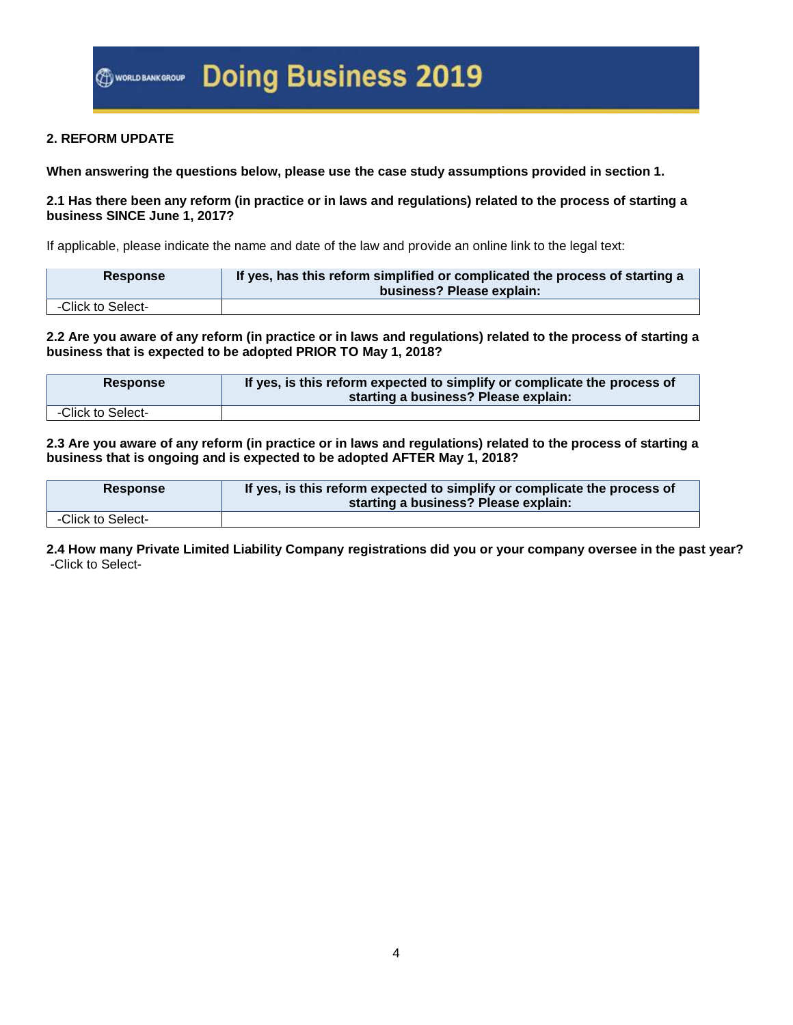#### **2. REFORM UPDATE**

**When answering the questions below, please use the case study assumptions provided in section 1.**

#### **2.1 Has there been any reform (in practice or in laws and regulations) related to the process of starting a business SINCE June 1, 2017?**

If applicable, please indicate the name and date of the law and provide an online link to the legal text:

| <b>Response</b>   | If yes, has this reform simplified or complicated the process of starting a<br>business? Please explain: |
|-------------------|----------------------------------------------------------------------------------------------------------|
| -Click to Select- |                                                                                                          |

**2.2 Are you aware of any reform (in practice or in laws and regulations) related to the process of starting a business that is expected to be adopted PRIOR TO May 1, 2018?**

| <b>Response</b>   | If yes, is this reform expected to simplify or complicate the process of<br>starting a business? Please explain: |
|-------------------|------------------------------------------------------------------------------------------------------------------|
| -Click to Select- |                                                                                                                  |

**2.3 Are you aware of any reform (in practice or in laws and regulations) related to the process of starting a business that is ongoing and is expected to be adopted AFTER May 1, 2018?**

| <b>Response</b>   | If yes, is this reform expected to simplify or complicate the process of<br>starting a business? Please explain: |
|-------------------|------------------------------------------------------------------------------------------------------------------|
| -Click to Select- |                                                                                                                  |

**2.4 How many Private Limited Liability Company registrations did you or your company oversee in the past year?** -Click to Select-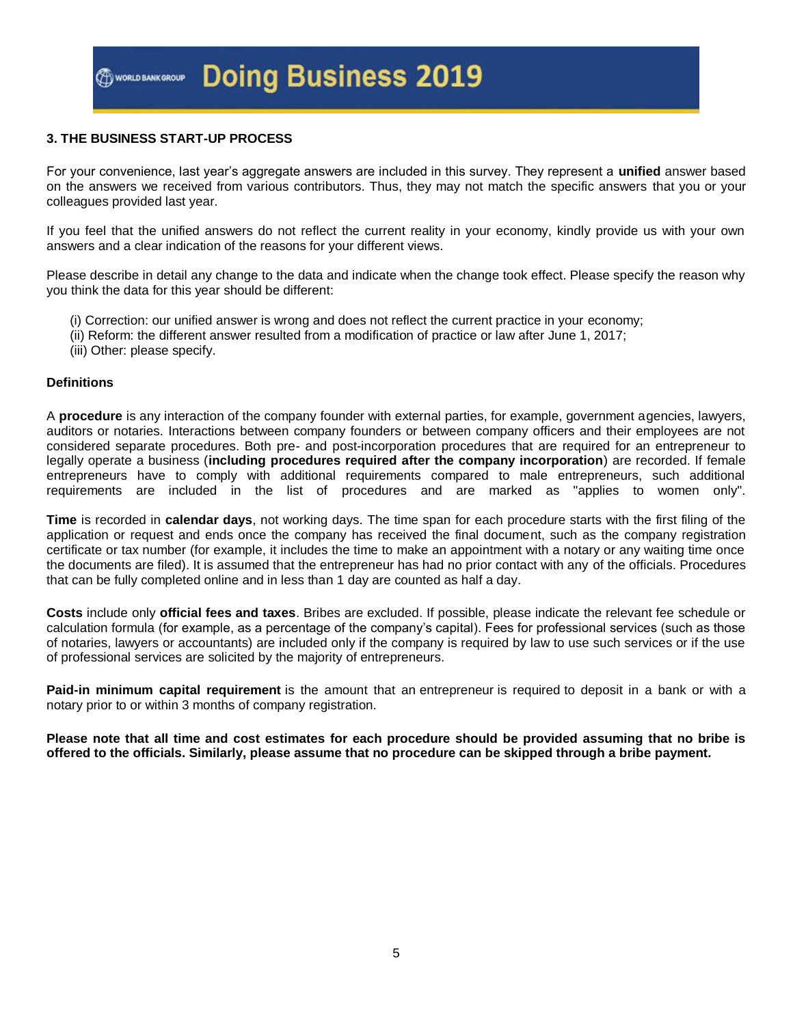#### **3. THE BUSINESS START-UP PROCESS**

For your convenience, last year's aggregate answers are included in this survey. They represent a **unified** answer based on the answers we received from various contributors. Thus, they may not match the specific answers that you or your colleagues provided last year.

If you feel that the unified answers do not reflect the current reality in your economy, kindly provide us with your own answers and a clear indication of the reasons for your different views.

Please describe in detail any change to the data and indicate when the change took effect. Please specify the reason why you think the data for this year should be different:

- (i) Correction: our unified answer is wrong and does not reflect the current practice in your economy;
- (ii) Reform: the different answer resulted from a modification of practice or law after June 1, 2017;
- (iii) Other: please specify.

#### **Definitions**

A **procedure** is any interaction of the company founder with external parties, for example, government agencies, lawyers, auditors or notaries. Interactions between company founders or between company officers and their employees are not considered separate procedures. Both pre- and post-incorporation procedures that are required for an entrepreneur to legally operate a business (**including procedures required after the company incorporation**) are recorded. If female entrepreneurs have to comply with additional requirements compared to male entrepreneurs, such additional requirements are included in the list of procedures and are marked as "applies to women only".

**Time** is recorded in **calendar days**, not working days. The time span for each procedure starts with the first filing of the application or request and ends once the company has received the final document, such as the company registration certificate or tax number (for example, it includes the time to make an appointment with a notary or any waiting time once the documents are filed). It is assumed that the entrepreneur has had no prior contact with any of the officials. Procedures that can be fully completed online and in less than 1 day are counted as half a day.

**Costs** include only **official fees and taxes**. Bribes are excluded. If possible, please indicate the relevant fee schedule or calculation formula (for example, as a percentage of the company's capital). Fees for professional services (such as those of notaries, lawyers or accountants) are included only if the company is required by law to use such services or if the use of professional services are solicited by the majority of entrepreneurs.

**Paid-in minimum capital requirement** is the amount that an entrepreneur is required to deposit in a bank or with a notary prior to or within 3 months of company registration.

**Please note that all time and cost estimates for each procedure should be provided assuming that no bribe is offered to the officials. Similarly, please assume that no procedure can be skipped through a bribe payment.**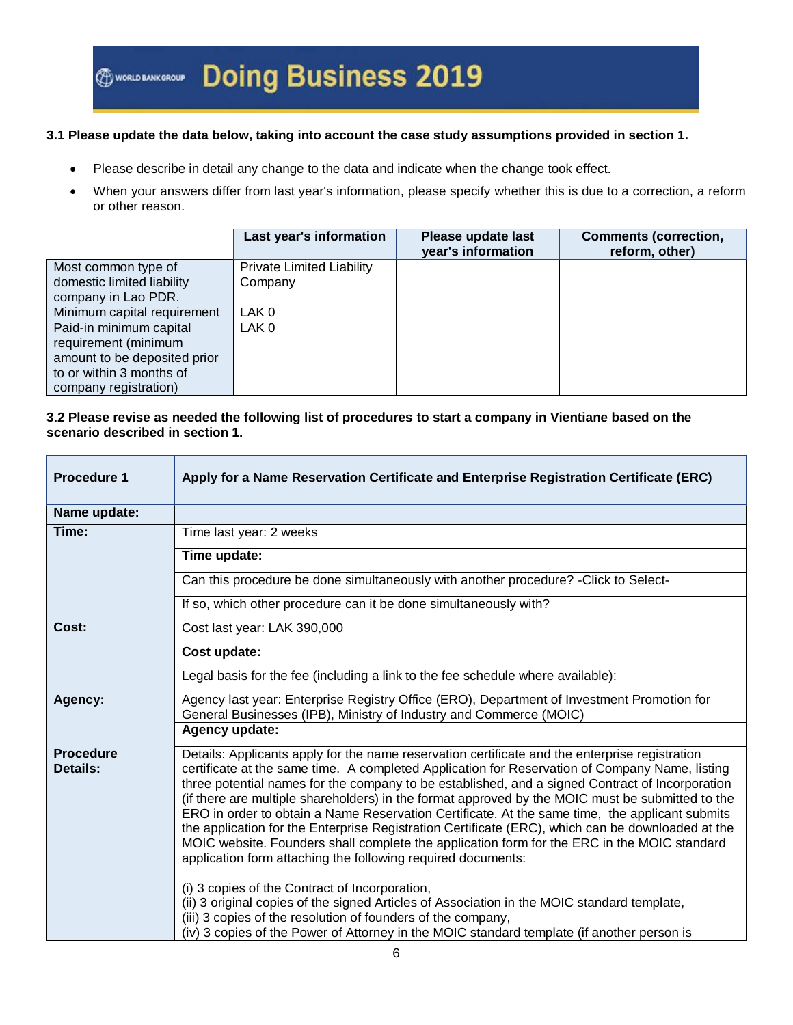#### **3.1 Please update the data below, taking into account the case study assumptions provided in section 1.**

- Please describe in detail any change to the data and indicate when the change took effect.
- When your answers differ from last year's information, please specify whether this is due to a correction, a reform or other reason.

|                              | Last year's information   | Please update last<br>year's information | <b>Comments (correction,</b><br>reform, other) |
|------------------------------|---------------------------|------------------------------------------|------------------------------------------------|
| Most common type of          | Private Limited Liability |                                          |                                                |
| domestic limited liability   | Company                   |                                          |                                                |
| company in Lao PDR.          |                           |                                          |                                                |
| Minimum capital requirement  | LAK <sub>0</sub>          |                                          |                                                |
| Paid-in minimum capital      | LAK <sub>0</sub>          |                                          |                                                |
| requirement (minimum         |                           |                                          |                                                |
| amount to be deposited prior |                           |                                          |                                                |
| to or within 3 months of     |                           |                                          |                                                |
| company registration)        |                           |                                          |                                                |

#### **3.2 Please revise as needed the following list of procedures to start a company in Vientiane based on the scenario described in section 1.**

| <b>Procedure 1</b>           | Apply for a Name Reservation Certificate and Enterprise Registration Certificate (ERC)                                                                                                                                                                                                                                                                                                                                                                                                                                                                                                                                                                                                                                                                                        |
|------------------------------|-------------------------------------------------------------------------------------------------------------------------------------------------------------------------------------------------------------------------------------------------------------------------------------------------------------------------------------------------------------------------------------------------------------------------------------------------------------------------------------------------------------------------------------------------------------------------------------------------------------------------------------------------------------------------------------------------------------------------------------------------------------------------------|
| Name update:                 |                                                                                                                                                                                                                                                                                                                                                                                                                                                                                                                                                                                                                                                                                                                                                                               |
| Time:                        | Time last year: 2 weeks                                                                                                                                                                                                                                                                                                                                                                                                                                                                                                                                                                                                                                                                                                                                                       |
|                              | Time update:                                                                                                                                                                                                                                                                                                                                                                                                                                                                                                                                                                                                                                                                                                                                                                  |
|                              | Can this procedure be done simultaneously with another procedure? - Click to Select-                                                                                                                                                                                                                                                                                                                                                                                                                                                                                                                                                                                                                                                                                          |
|                              | If so, which other procedure can it be done simultaneously with?                                                                                                                                                                                                                                                                                                                                                                                                                                                                                                                                                                                                                                                                                                              |
| Cost:                        | Cost last year: LAK 390,000                                                                                                                                                                                                                                                                                                                                                                                                                                                                                                                                                                                                                                                                                                                                                   |
|                              | Cost update:                                                                                                                                                                                                                                                                                                                                                                                                                                                                                                                                                                                                                                                                                                                                                                  |
|                              | Legal basis for the fee (including a link to the fee schedule where available):                                                                                                                                                                                                                                                                                                                                                                                                                                                                                                                                                                                                                                                                                               |
| Agency:                      | Agency last year: Enterprise Registry Office (ERO), Department of Investment Promotion for<br>General Businesses (IPB), Ministry of Industry and Commerce (MOIC)                                                                                                                                                                                                                                                                                                                                                                                                                                                                                                                                                                                                              |
|                              | Agency update:                                                                                                                                                                                                                                                                                                                                                                                                                                                                                                                                                                                                                                                                                                                                                                |
| <b>Procedure</b><br>Details: | Details: Applicants apply for the name reservation certificate and the enterprise registration<br>certificate at the same time. A completed Application for Reservation of Company Name, listing<br>three potential names for the company to be established, and a signed Contract of Incorporation<br>(if there are multiple shareholders) in the format approved by the MOIC must be submitted to the<br>ERO in order to obtain a Name Reservation Certificate. At the same time, the applicant submits<br>the application for the Enterprise Registration Certificate (ERC), which can be downloaded at the<br>MOIC website. Founders shall complete the application form for the ERC in the MOIC standard<br>application form attaching the following required documents: |
|                              | (i) 3 copies of the Contract of Incorporation,<br>(ii) 3 original copies of the signed Articles of Association in the MOIC standard template,<br>(iii) 3 copies of the resolution of founders of the company,<br>(iv) 3 copies of the Power of Attorney in the MOIC standard template (if another person is                                                                                                                                                                                                                                                                                                                                                                                                                                                                   |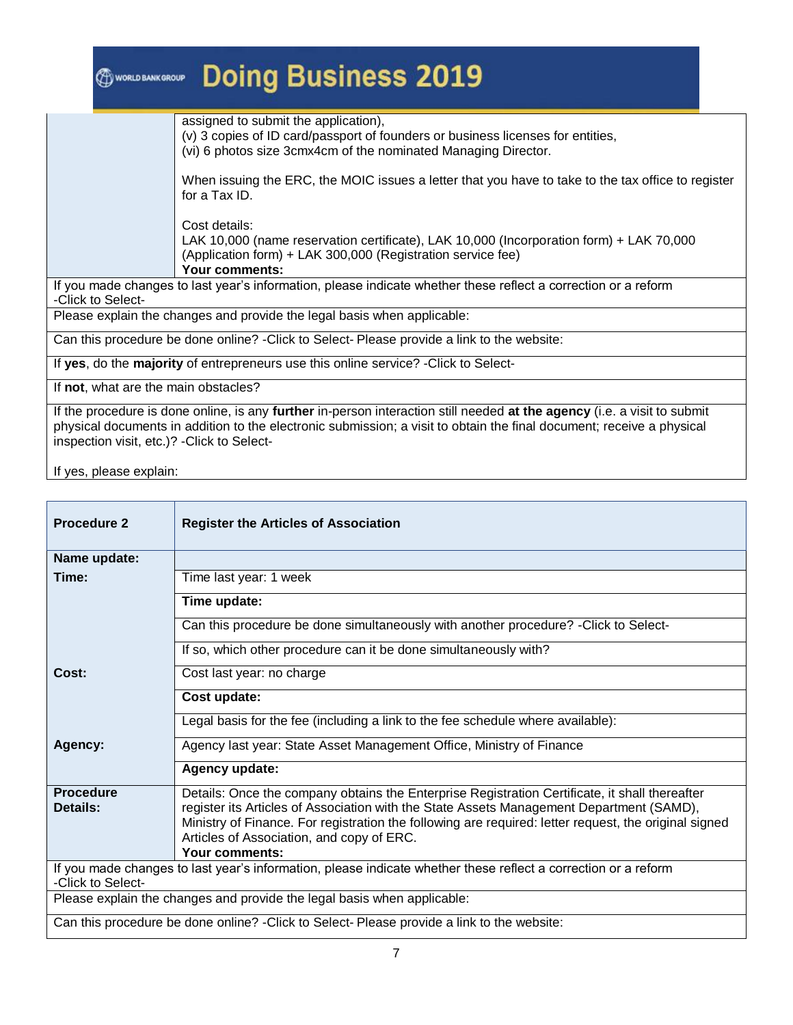| WORLD BANK GROUP                            | <b>Doing Business 2019</b>                                                                                                                                                                                                                        |
|---------------------------------------------|---------------------------------------------------------------------------------------------------------------------------------------------------------------------------------------------------------------------------------------------------|
|                                             | assigned to submit the application),<br>(v) 3 copies of ID card/passport of founders or business licenses for entities,<br>(vi) 6 photos size 3cmx4cm of the nominated Managing Director.                                                         |
|                                             | When issuing the ERC, the MOIC issues a letter that you have to take to the tax office to register<br>for a Tax ID.                                                                                                                               |
|                                             | Cost details:<br>LAK 10,000 (name reservation certificate), LAK 10,000 (Incorporation form) + LAK 70,000<br>(Application form) + LAK 300,000 (Registration service fee)<br>Your comments:                                                         |
| -Click to Select-                           | If you made changes to last year's information, please indicate whether these reflect a correction or a reform                                                                                                                                    |
|                                             | Please explain the changes and provide the legal basis when applicable:                                                                                                                                                                           |
|                                             | Can this procedure be done online? - Click to Select-Please provide a link to the website:                                                                                                                                                        |
|                                             | If yes, do the majority of entrepreneurs use this online service? - Click to Select-                                                                                                                                                              |
| If not, what are the main obstacles?        |                                                                                                                                                                                                                                                   |
| inspection visit, etc.)? - Click to Select- | If the procedure is done online, is any further in-person interaction still needed at the agency (i.e. a visit to submit<br>physical documents in addition to the electronic submission; a visit to obtain the final document; receive a physical |

| <b>Procedure 2</b>           | <b>Register the Articles of Association</b>                                                                                                                                                                                                                                                                                                                        |
|------------------------------|--------------------------------------------------------------------------------------------------------------------------------------------------------------------------------------------------------------------------------------------------------------------------------------------------------------------------------------------------------------------|
| Name update:                 |                                                                                                                                                                                                                                                                                                                                                                    |
| Time:                        | Time last year: 1 week                                                                                                                                                                                                                                                                                                                                             |
|                              | Time update:                                                                                                                                                                                                                                                                                                                                                       |
|                              | Can this procedure be done simultaneously with another procedure? - Click to Select-                                                                                                                                                                                                                                                                               |
|                              | If so, which other procedure can it be done simultaneously with?                                                                                                                                                                                                                                                                                                   |
| Cost:                        | Cost last year: no charge                                                                                                                                                                                                                                                                                                                                          |
|                              | Cost update:                                                                                                                                                                                                                                                                                                                                                       |
|                              | Legal basis for the fee (including a link to the fee schedule where available):                                                                                                                                                                                                                                                                                    |
| Agency:                      | Agency last year: State Asset Management Office, Ministry of Finance                                                                                                                                                                                                                                                                                               |
|                              | Agency update:                                                                                                                                                                                                                                                                                                                                                     |
| <b>Procedure</b><br>Details: | Details: Once the company obtains the Enterprise Registration Certificate, it shall thereafter<br>register its Articles of Association with the State Assets Management Department (SAMD),<br>Ministry of Finance. For registration the following are required: letter request, the original signed<br>Articles of Association, and copy of ERC.<br>Your comments: |
| -Click to Select-            | If you made changes to last year's information, please indicate whether these reflect a correction or a reform                                                                                                                                                                                                                                                     |
|                              | Please explain the changes and provide the legal basis when applicable:                                                                                                                                                                                                                                                                                            |
|                              | Can this procedure be done online? - Click to Select-Please provide a link to the website:                                                                                                                                                                                                                                                                         |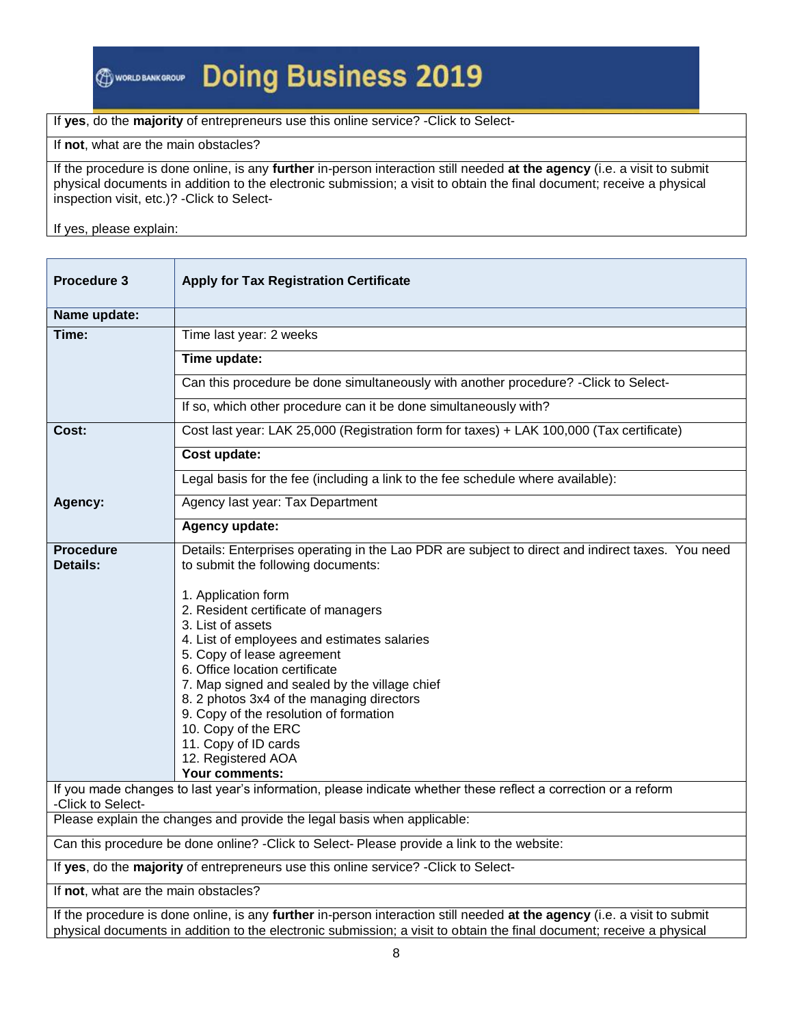## **Doing Business 2019**

#### If **yes**, do the **majority** of entrepreneurs use this online service? -Click to Select-

If **not**, what are the main obstacles?

If the procedure is done online, is any **further** in-person interaction still needed **at the agency** (i.e. a visit to submit physical documents in addition to the electronic submission; a visit to obtain the final document; receive a physical inspection visit, etc.)? -Click to Select-

| Procedure 3                                                                                | <b>Apply for Tax Registration Certificate</b>                                                                                                                                                                                                                                                                                                                                                                                          |  |
|--------------------------------------------------------------------------------------------|----------------------------------------------------------------------------------------------------------------------------------------------------------------------------------------------------------------------------------------------------------------------------------------------------------------------------------------------------------------------------------------------------------------------------------------|--|
| Name update:                                                                               |                                                                                                                                                                                                                                                                                                                                                                                                                                        |  |
| Time:                                                                                      | Time last year: 2 weeks                                                                                                                                                                                                                                                                                                                                                                                                                |  |
|                                                                                            | Time update:                                                                                                                                                                                                                                                                                                                                                                                                                           |  |
|                                                                                            | Can this procedure be done simultaneously with another procedure? - Click to Select-                                                                                                                                                                                                                                                                                                                                                   |  |
|                                                                                            | If so, which other procedure can it be done simultaneously with?                                                                                                                                                                                                                                                                                                                                                                       |  |
| Cost:                                                                                      | Cost last year: LAK 25,000 (Registration form for taxes) + LAK 100,000 (Tax certificate)                                                                                                                                                                                                                                                                                                                                               |  |
|                                                                                            | Cost update:                                                                                                                                                                                                                                                                                                                                                                                                                           |  |
|                                                                                            | Legal basis for the fee (including a link to the fee schedule where available):                                                                                                                                                                                                                                                                                                                                                        |  |
| Agency:                                                                                    | Agency last year: Tax Department                                                                                                                                                                                                                                                                                                                                                                                                       |  |
|                                                                                            | Agency update:                                                                                                                                                                                                                                                                                                                                                                                                                         |  |
| <b>Procedure</b><br><b>Details:</b>                                                        | Details: Enterprises operating in the Lao PDR are subject to direct and indirect taxes. You need<br>to submit the following documents:<br>1. Application form<br>2. Resident certificate of managers<br>3. List of assets<br>4. List of employees and estimates salaries<br>5. Copy of lease agreement<br>6. Office location certificate<br>7. Map signed and sealed by the village chief<br>8. 2 photos 3x4 of the managing directors |  |
|                                                                                            | 9. Copy of the resolution of formation<br>10. Copy of the ERC<br>11. Copy of ID cards<br>12. Registered AOA<br>Your comments:                                                                                                                                                                                                                                                                                                          |  |
| -Click to Select-                                                                          | If you made changes to last year's information, please indicate whether these reflect a correction or a reform                                                                                                                                                                                                                                                                                                                         |  |
|                                                                                            | Please explain the changes and provide the legal basis when applicable:                                                                                                                                                                                                                                                                                                                                                                |  |
| Can this procedure be done online? - Click to Select-Please provide a link to the website: |                                                                                                                                                                                                                                                                                                                                                                                                                                        |  |
| If yes, do the majority of entrepreneurs use this online service? - Click to Select-       |                                                                                                                                                                                                                                                                                                                                                                                                                                        |  |
| If not, what are the main obstacles?                                                       |                                                                                                                                                                                                                                                                                                                                                                                                                                        |  |
|                                                                                            | If the procedure is done online, is any further in-person interaction still needed at the agency (i.e. a visit to submit<br>physical documents in addition to the electronic submission; a visit to obtain the final document; receive a physical                                                                                                                                                                                      |  |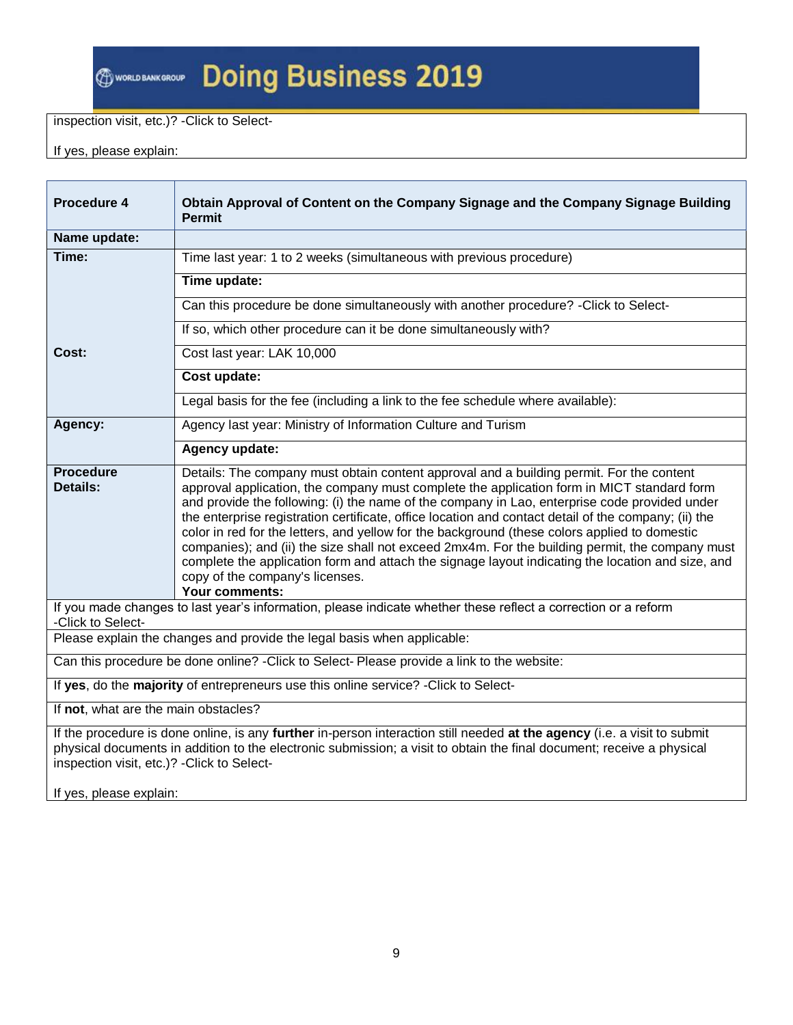# **@worusankGROUP Doing Business 2019**

#### inspection visit, etc.)? -Click to Select-

If yes, please explain:

| Procedure 4                                                                                 | Obtain Approval of Content on the Company Signage and the Company Signage Building<br><b>Permit</b>                                                                                                                                                                                                                                                                                                                                                                                                                                                                                                                                                                                                                                                           |  |  |
|---------------------------------------------------------------------------------------------|---------------------------------------------------------------------------------------------------------------------------------------------------------------------------------------------------------------------------------------------------------------------------------------------------------------------------------------------------------------------------------------------------------------------------------------------------------------------------------------------------------------------------------------------------------------------------------------------------------------------------------------------------------------------------------------------------------------------------------------------------------------|--|--|
| Name update:                                                                                |                                                                                                                                                                                                                                                                                                                                                                                                                                                                                                                                                                                                                                                                                                                                                               |  |  |
| Time:                                                                                       | Time last year: 1 to 2 weeks (simultaneous with previous procedure)                                                                                                                                                                                                                                                                                                                                                                                                                                                                                                                                                                                                                                                                                           |  |  |
|                                                                                             | Time update:                                                                                                                                                                                                                                                                                                                                                                                                                                                                                                                                                                                                                                                                                                                                                  |  |  |
|                                                                                             | Can this procedure be done simultaneously with another procedure? - Click to Select-                                                                                                                                                                                                                                                                                                                                                                                                                                                                                                                                                                                                                                                                          |  |  |
|                                                                                             | If so, which other procedure can it be done simultaneously with?                                                                                                                                                                                                                                                                                                                                                                                                                                                                                                                                                                                                                                                                                              |  |  |
| Cost:                                                                                       | Cost last year: LAK 10,000                                                                                                                                                                                                                                                                                                                                                                                                                                                                                                                                                                                                                                                                                                                                    |  |  |
|                                                                                             | Cost update:                                                                                                                                                                                                                                                                                                                                                                                                                                                                                                                                                                                                                                                                                                                                                  |  |  |
|                                                                                             | Legal basis for the fee (including a link to the fee schedule where available):                                                                                                                                                                                                                                                                                                                                                                                                                                                                                                                                                                                                                                                                               |  |  |
| Agency:                                                                                     | Agency last year: Ministry of Information Culture and Turism                                                                                                                                                                                                                                                                                                                                                                                                                                                                                                                                                                                                                                                                                                  |  |  |
| Agency update:                                                                              |                                                                                                                                                                                                                                                                                                                                                                                                                                                                                                                                                                                                                                                                                                                                                               |  |  |
| <b>Procedure</b><br><b>Details:</b>                                                         | Details: The company must obtain content approval and a building permit. For the content<br>approval application, the company must complete the application form in MICT standard form<br>and provide the following: (i) the name of the company in Lao, enterprise code provided under<br>the enterprise registration certificate, office location and contact detail of the company; (ii) the<br>color in red for the letters, and yellow for the background (these colors applied to domestic<br>companies); and (ii) the size shall not exceed 2mx4m. For the building permit, the company must<br>complete the application form and attach the signage layout indicating the location and size, and<br>copy of the company's licenses.<br>Your comments: |  |  |
| -Click to Select-                                                                           | If you made changes to last year's information, please indicate whether these reflect a correction or a reform                                                                                                                                                                                                                                                                                                                                                                                                                                                                                                                                                                                                                                                |  |  |
|                                                                                             | Please explain the changes and provide the legal basis when applicable:                                                                                                                                                                                                                                                                                                                                                                                                                                                                                                                                                                                                                                                                                       |  |  |
| Can this procedure be done online? - Click to Select- Please provide a link to the website: |                                                                                                                                                                                                                                                                                                                                                                                                                                                                                                                                                                                                                                                                                                                                                               |  |  |
|                                                                                             | If yes, do the majority of entrepreneurs use this online service? - Click to Select-                                                                                                                                                                                                                                                                                                                                                                                                                                                                                                                                                                                                                                                                          |  |  |
| If not, what are the main obstacles?                                                        |                                                                                                                                                                                                                                                                                                                                                                                                                                                                                                                                                                                                                                                                                                                                                               |  |  |
| inspection visit, etc.)? - Click to Select-                                                 | If the procedure is done online, is any further in-person interaction still needed at the agency (i.e. a visit to submit<br>physical documents in addition to the electronic submission; a visit to obtain the final document; receive a physical                                                                                                                                                                                                                                                                                                                                                                                                                                                                                                             |  |  |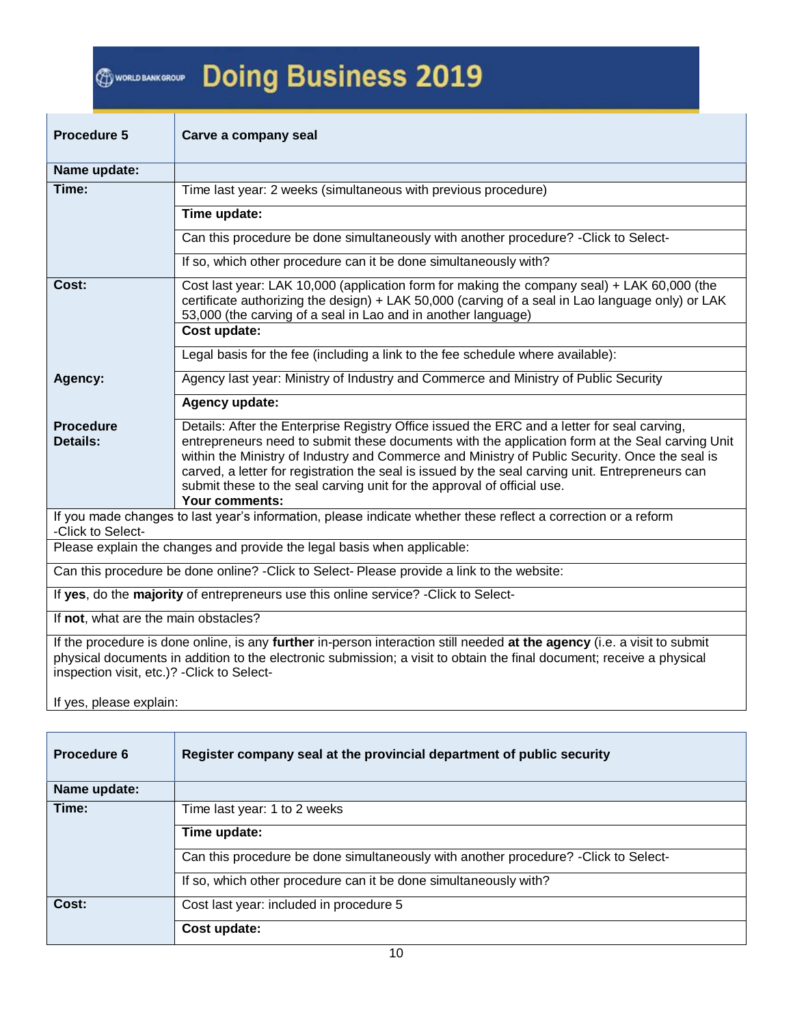# @www.unkunour Doing Business 2019

| <b>Procedure 5</b>                                                                                                                                                                                                                                                                               | Carve a company seal                                                                                                                                                                                                                                                                                                                                                                                                                                                                              |  |  |  |  |
|--------------------------------------------------------------------------------------------------------------------------------------------------------------------------------------------------------------------------------------------------------------------------------------------------|---------------------------------------------------------------------------------------------------------------------------------------------------------------------------------------------------------------------------------------------------------------------------------------------------------------------------------------------------------------------------------------------------------------------------------------------------------------------------------------------------|--|--|--|--|
| Name update:                                                                                                                                                                                                                                                                                     |                                                                                                                                                                                                                                                                                                                                                                                                                                                                                                   |  |  |  |  |
| Time:                                                                                                                                                                                                                                                                                            | Time last year: 2 weeks (simultaneous with previous procedure)                                                                                                                                                                                                                                                                                                                                                                                                                                    |  |  |  |  |
|                                                                                                                                                                                                                                                                                                  | Time update:                                                                                                                                                                                                                                                                                                                                                                                                                                                                                      |  |  |  |  |
|                                                                                                                                                                                                                                                                                                  | Can this procedure be done simultaneously with another procedure? - Click to Select-                                                                                                                                                                                                                                                                                                                                                                                                              |  |  |  |  |
|                                                                                                                                                                                                                                                                                                  | If so, which other procedure can it be done simultaneously with?                                                                                                                                                                                                                                                                                                                                                                                                                                  |  |  |  |  |
| Cost:                                                                                                                                                                                                                                                                                            | Cost last year: LAK 10,000 (application form for making the company seal) + LAK 60,000 (the<br>certificate authorizing the design) + LAK 50,000 (carving of a seal in Lao language only) or LAK<br>53,000 (the carving of a seal in Lao and in another language)<br>Cost update:                                                                                                                                                                                                                  |  |  |  |  |
|                                                                                                                                                                                                                                                                                                  | Legal basis for the fee (including a link to the fee schedule where available):                                                                                                                                                                                                                                                                                                                                                                                                                   |  |  |  |  |
| Agency:                                                                                                                                                                                                                                                                                          | Agency last year: Ministry of Industry and Commerce and Ministry of Public Security                                                                                                                                                                                                                                                                                                                                                                                                               |  |  |  |  |
|                                                                                                                                                                                                                                                                                                  | Agency update:                                                                                                                                                                                                                                                                                                                                                                                                                                                                                    |  |  |  |  |
| <b>Procedure</b><br><b>Details:</b>                                                                                                                                                                                                                                                              | Details: After the Enterprise Registry Office issued the ERC and a letter for seal carving,<br>entrepreneurs need to submit these documents with the application form at the Seal carving Unit<br>within the Ministry of Industry and Commerce and Ministry of Public Security. Once the seal is<br>carved, a letter for registration the seal is issued by the seal carving unit. Entrepreneurs can<br>submit these to the seal carving unit for the approval of official use.<br>Your comments: |  |  |  |  |
| -Click to Select-                                                                                                                                                                                                                                                                                | If you made changes to last year's information, please indicate whether these reflect a correction or a reform                                                                                                                                                                                                                                                                                                                                                                                    |  |  |  |  |
|                                                                                                                                                                                                                                                                                                  | Please explain the changes and provide the legal basis when applicable:                                                                                                                                                                                                                                                                                                                                                                                                                           |  |  |  |  |
| Can this procedure be done online? - Click to Select- Please provide a link to the website:                                                                                                                                                                                                      |                                                                                                                                                                                                                                                                                                                                                                                                                                                                                                   |  |  |  |  |
| If yes, do the majority of entrepreneurs use this online service? - Click to Select-                                                                                                                                                                                                             |                                                                                                                                                                                                                                                                                                                                                                                                                                                                                                   |  |  |  |  |
| If not, what are the main obstacles?                                                                                                                                                                                                                                                             |                                                                                                                                                                                                                                                                                                                                                                                                                                                                                                   |  |  |  |  |
| If the procedure is done online, is any further in-person interaction still needed at the agency (i.e. a visit to submit<br>physical documents in addition to the electronic submission; a visit to obtain the final document; receive a physical<br>inspection visit, etc.)? - Click to Select- |                                                                                                                                                                                                                                                                                                                                                                                                                                                                                                   |  |  |  |  |

| Procedure 6  | Register company seal at the provincial department of public security                |
|--------------|--------------------------------------------------------------------------------------|
| Name update: |                                                                                      |
| Time:        | Time last year: 1 to 2 weeks                                                         |
|              | Time update:                                                                         |
|              | Can this procedure be done simultaneously with another procedure? - Click to Select- |
|              | If so, which other procedure can it be done simultaneously with?                     |
| Cost:        | Cost last year: included in procedure 5                                              |
|              | Cost update:                                                                         |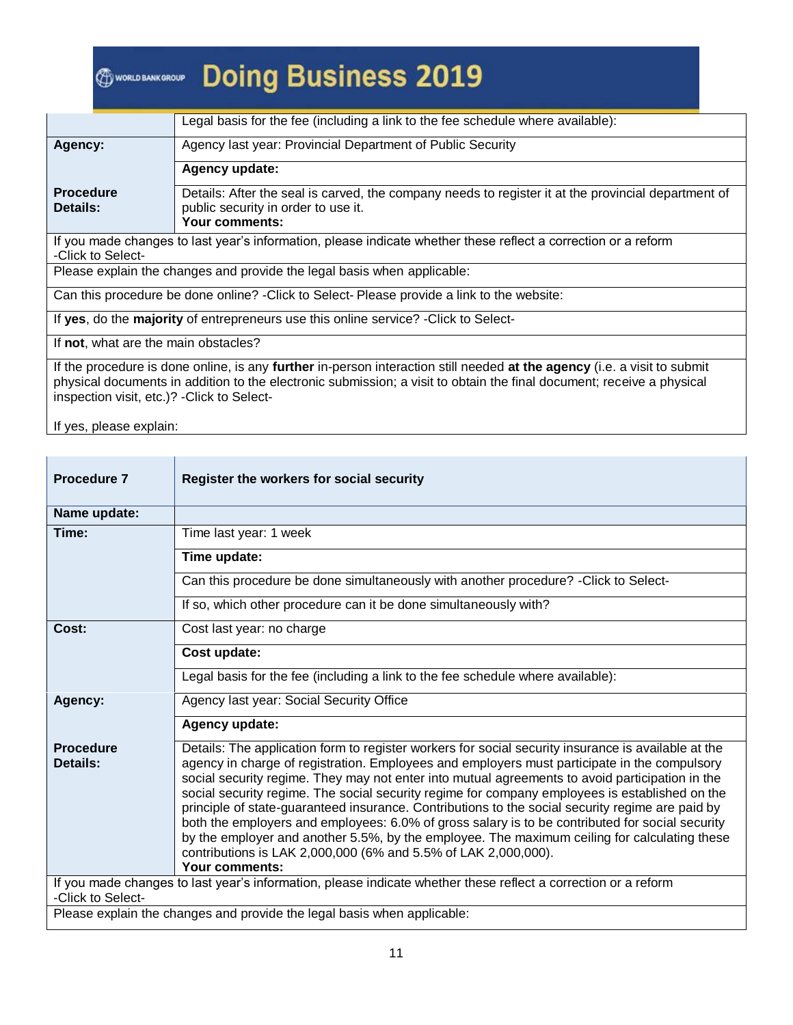|                                                                                                                                     | Legal basis for the fee (including a link to the fee schedule where available):                                                                              |  |  |  |
|-------------------------------------------------------------------------------------------------------------------------------------|--------------------------------------------------------------------------------------------------------------------------------------------------------------|--|--|--|
|                                                                                                                                     |                                                                                                                                                              |  |  |  |
| Agency:                                                                                                                             | Agency last year: Provincial Department of Public Security                                                                                                   |  |  |  |
|                                                                                                                                     | Agency update:                                                                                                                                               |  |  |  |
| <b>Procedure</b><br>Details:                                                                                                        | Details: After the seal is carved, the company needs to register it at the provincial department of<br>public security in order to use it.<br>Your comments: |  |  |  |
| If you made changes to last year's information, please indicate whether these reflect a correction or a reform<br>-Click to Select- |                                                                                                                                                              |  |  |  |
| Please explain the changes and provide the legal basis when applicable:                                                             |                                                                                                                                                              |  |  |  |
| Can this procedure be done online? - Click to Select-Please provide a link to the website:                                          |                                                                                                                                                              |  |  |  |

If **yes**, do the **majority** of entrepreneurs use this online service? -Click to Select-

If **not**, what are the main obstacles?

T

If the procedure is done online, is any **further** in-person interaction still needed **at the agency** (i.e. a visit to submit physical documents in addition to the electronic submission; a visit to obtain the final document; receive a physical inspection visit, etc.)? -Click to Select-

If yes, please explain:

┍

| <b>Procedure 7</b>           | Register the workers for social security                                                                                                                                                                                                                                                                                                                                                                                                                                                                                                                                                                                                                                                                                                                                                                   |
|------------------------------|------------------------------------------------------------------------------------------------------------------------------------------------------------------------------------------------------------------------------------------------------------------------------------------------------------------------------------------------------------------------------------------------------------------------------------------------------------------------------------------------------------------------------------------------------------------------------------------------------------------------------------------------------------------------------------------------------------------------------------------------------------------------------------------------------------|
| Name update:                 |                                                                                                                                                                                                                                                                                                                                                                                                                                                                                                                                                                                                                                                                                                                                                                                                            |
| Time:                        | Time last year: 1 week                                                                                                                                                                                                                                                                                                                                                                                                                                                                                                                                                                                                                                                                                                                                                                                     |
|                              | Time update:                                                                                                                                                                                                                                                                                                                                                                                                                                                                                                                                                                                                                                                                                                                                                                                               |
|                              | Can this procedure be done simultaneously with another procedure? - Click to Select-                                                                                                                                                                                                                                                                                                                                                                                                                                                                                                                                                                                                                                                                                                                       |
|                              | If so, which other procedure can it be done simultaneously with?                                                                                                                                                                                                                                                                                                                                                                                                                                                                                                                                                                                                                                                                                                                                           |
| Cost:                        | Cost last year: no charge                                                                                                                                                                                                                                                                                                                                                                                                                                                                                                                                                                                                                                                                                                                                                                                  |
|                              | Cost update:                                                                                                                                                                                                                                                                                                                                                                                                                                                                                                                                                                                                                                                                                                                                                                                               |
|                              | Legal basis for the fee (including a link to the fee schedule where available):                                                                                                                                                                                                                                                                                                                                                                                                                                                                                                                                                                                                                                                                                                                            |
| Agency:                      | Agency last year: Social Security Office                                                                                                                                                                                                                                                                                                                                                                                                                                                                                                                                                                                                                                                                                                                                                                   |
|                              | Agency update:                                                                                                                                                                                                                                                                                                                                                                                                                                                                                                                                                                                                                                                                                                                                                                                             |
| <b>Procedure</b><br>Details: | Details: The application form to register workers for social security insurance is available at the<br>agency in charge of registration. Employees and employers must participate in the compulsory<br>social security regime. They may not enter into mutual agreements to avoid participation in the<br>social security regime. The social security regime for company employees is established on the<br>principle of state-guaranteed insurance. Contributions to the social security regime are paid by<br>both the employers and employees: 6.0% of gross salary is to be contributed for social security<br>by the employer and another 5.5%, by the employee. The maximum ceiling for calculating these<br>contributions is LAK 2,000,000 (6% and 5.5% of LAK 2,000,000).<br><b>Your comments:</b> |
|                              | If you made changes to last year's information, please indicate whether these reflect a correction or a reform                                                                                                                                                                                                                                                                                                                                                                                                                                                                                                                                                                                                                                                                                             |
| -Click to Select-            | Please explain the changes and provide the legal basis when applicable:                                                                                                                                                                                                                                                                                                                                                                                                                                                                                                                                                                                                                                                                                                                                    |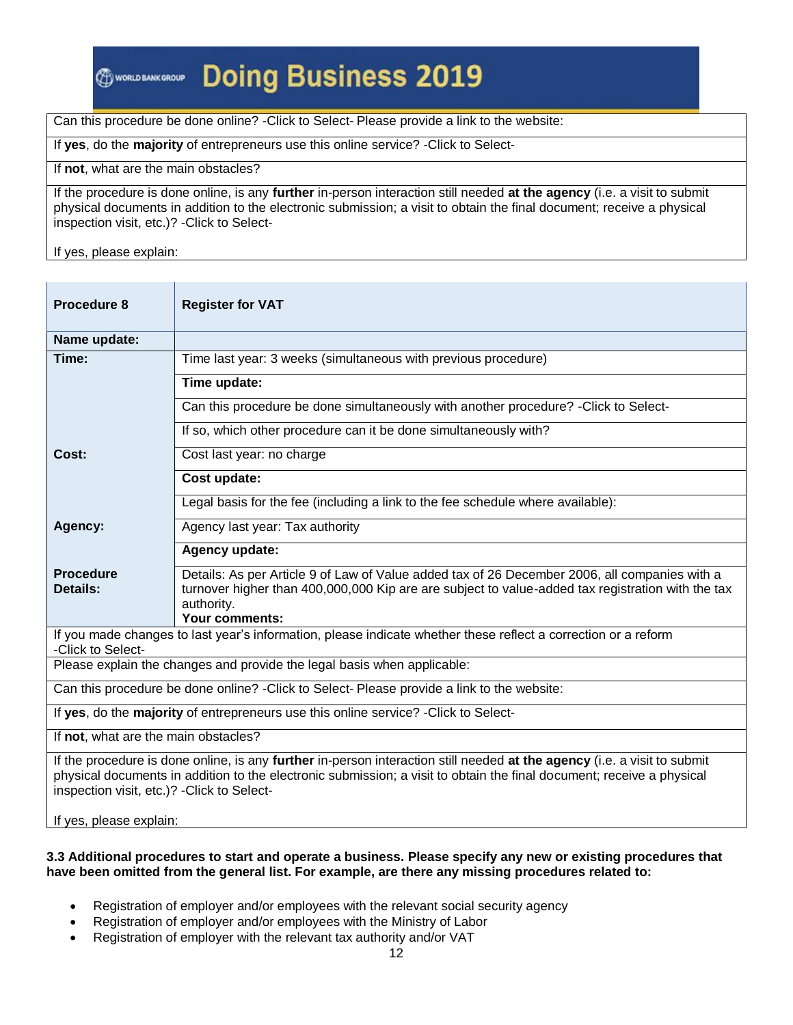### **Doing Business 2019**

Can this procedure be done online? -Click to Select- Please provide a link to the website:

If **yes**, do the **majority** of entrepreneurs use this online service? -Click to Select-

If **not**, what are the main obstacles?

If the procedure is done online, is any **further** in-person interaction still needed **at the agency** (i.e. a visit to submit physical documents in addition to the electronic submission; a visit to obtain the final document; receive a physical inspection visit, etc.)? -Click to Select-

If yes, please explain:

| Procedure 8                                                                                                                                                                                                                                                                                                                 | <b>Register for VAT</b>                                                                                                                                                                                                                   |  |  |  |
|-----------------------------------------------------------------------------------------------------------------------------------------------------------------------------------------------------------------------------------------------------------------------------------------------------------------------------|-------------------------------------------------------------------------------------------------------------------------------------------------------------------------------------------------------------------------------------------|--|--|--|
| Name update:                                                                                                                                                                                                                                                                                                                |                                                                                                                                                                                                                                           |  |  |  |
| Time:                                                                                                                                                                                                                                                                                                                       | Time last year: 3 weeks (simultaneous with previous procedure)                                                                                                                                                                            |  |  |  |
|                                                                                                                                                                                                                                                                                                                             | Time update:                                                                                                                                                                                                                              |  |  |  |
|                                                                                                                                                                                                                                                                                                                             | Can this procedure be done simultaneously with another procedure? - Click to Select-                                                                                                                                                      |  |  |  |
|                                                                                                                                                                                                                                                                                                                             | If so, which other procedure can it be done simultaneously with?                                                                                                                                                                          |  |  |  |
| Cost:                                                                                                                                                                                                                                                                                                                       | Cost last year: no charge                                                                                                                                                                                                                 |  |  |  |
|                                                                                                                                                                                                                                                                                                                             | Cost update:                                                                                                                                                                                                                              |  |  |  |
|                                                                                                                                                                                                                                                                                                                             | Legal basis for the fee (including a link to the fee schedule where available):                                                                                                                                                           |  |  |  |
| Agency last year: Tax authority<br>Agency:                                                                                                                                                                                                                                                                                  |                                                                                                                                                                                                                                           |  |  |  |
|                                                                                                                                                                                                                                                                                                                             | Agency update:                                                                                                                                                                                                                            |  |  |  |
| <b>Procedure</b><br><b>Details:</b>                                                                                                                                                                                                                                                                                         | Details: As per Article 9 of Law of Value added tax of 26 December 2006, all companies with a<br>turnover higher than 400,000,000 Kip are are subject to value-added tax registration with the tax<br>authority.<br><b>Your comments:</b> |  |  |  |
| -Click to Select-                                                                                                                                                                                                                                                                                                           | If you made changes to last year's information, please indicate whether these reflect a correction or a reform                                                                                                                            |  |  |  |
| Please explain the changes and provide the legal basis when applicable:                                                                                                                                                                                                                                                     |                                                                                                                                                                                                                                           |  |  |  |
| Can this procedure be done online? - Click to Select- Please provide a link to the website:                                                                                                                                                                                                                                 |                                                                                                                                                                                                                                           |  |  |  |
| If yes, do the majority of entrepreneurs use this online service? - Click to Select-                                                                                                                                                                                                                                        |                                                                                                                                                                                                                                           |  |  |  |
| If not, what are the main obstacles?                                                                                                                                                                                                                                                                                        |                                                                                                                                                                                                                                           |  |  |  |
| If the procedure is done online, is any further in-person interaction still needed at the agency (i.e. a visit to submit<br>physical documents in addition to the electronic submission; a visit to obtain the final document; receive a physical<br>inspection visit, etc.)? - Click to Select-<br>If yes, please explain: |                                                                                                                                                                                                                                           |  |  |  |

#### **3.3 Additional procedures to start and operate a business. Please specify any new or existing procedures that have been omitted from the general list. For example, are there any missing procedures related to:**

- Registration of employer and/or employees with the relevant social security agency
- Registration of employer and/or employees with the Ministry of Labor
- Registration of employer with the relevant tax authority and/or VAT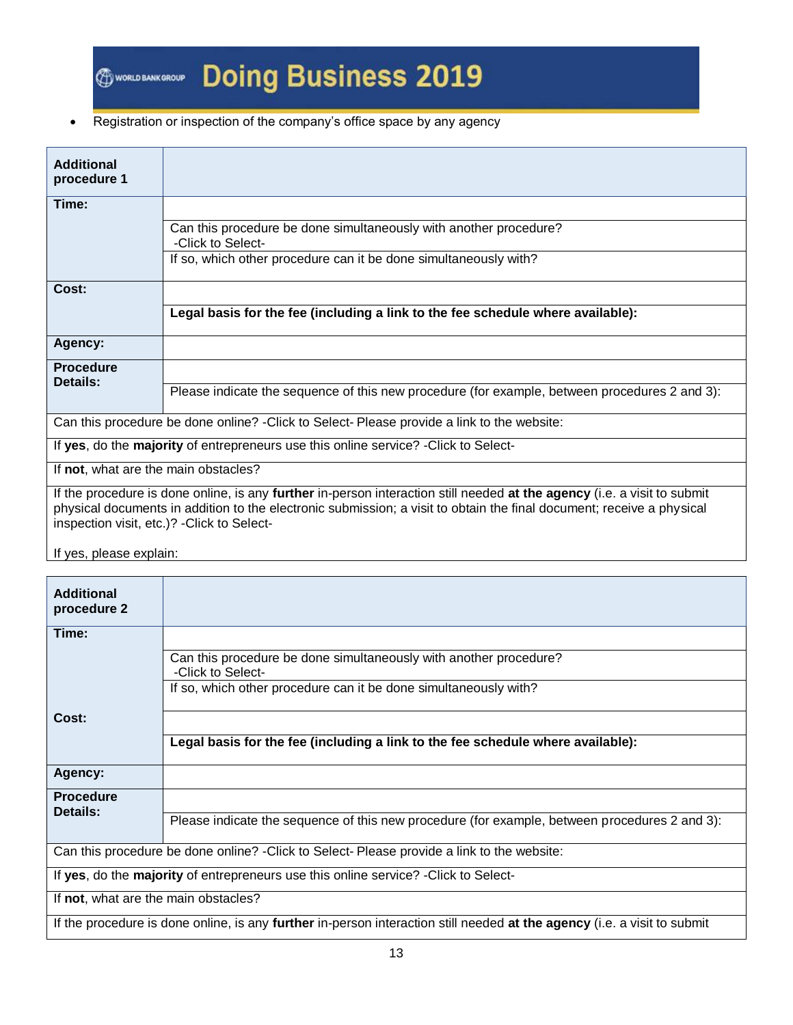# **Doing Business 2019**

#### • Registration or inspection of the company's office space by any agency

| <b>Additional</b><br>procedure 1                                                     |                                                                                                                                                                                                                                                                                                  |  |
|--------------------------------------------------------------------------------------|--------------------------------------------------------------------------------------------------------------------------------------------------------------------------------------------------------------------------------------------------------------------------------------------------|--|
| Time:                                                                                |                                                                                                                                                                                                                                                                                                  |  |
|                                                                                      | Can this procedure be done simultaneously with another procedure?<br>-Click to Select-                                                                                                                                                                                                           |  |
|                                                                                      | If so, which other procedure can it be done simultaneously with?                                                                                                                                                                                                                                 |  |
| Cost:                                                                                |                                                                                                                                                                                                                                                                                                  |  |
|                                                                                      | Legal basis for the fee (including a link to the fee schedule where available):                                                                                                                                                                                                                  |  |
| Agency:                                                                              |                                                                                                                                                                                                                                                                                                  |  |
| <b>Procedure</b>                                                                     |                                                                                                                                                                                                                                                                                                  |  |
| Details:                                                                             | Please indicate the sequence of this new procedure (for example, between procedures 2 and 3):                                                                                                                                                                                                    |  |
|                                                                                      | Can this procedure be done online? - Click to Select-Please provide a link to the website:                                                                                                                                                                                                       |  |
| If yes, do the majority of entrepreneurs use this online service? - Click to Select- |                                                                                                                                                                                                                                                                                                  |  |
| If not, what are the main obstacles?                                                 |                                                                                                                                                                                                                                                                                                  |  |
|                                                                                      | If the procedure is done online, is any further in-person interaction still needed at the agency (i.e. a visit to submit<br>physical documents in addition to the electronic submission; a visit to obtain the final document; receive a physical<br>inspection visit, etc.)? - Click to Select- |  |

| <b>Additional</b><br>procedure 2                                                           |                                                                                                                          |  |
|--------------------------------------------------------------------------------------------|--------------------------------------------------------------------------------------------------------------------------|--|
| Time:                                                                                      |                                                                                                                          |  |
|                                                                                            | Can this procedure be done simultaneously with another procedure?<br>-Click to Select-                                   |  |
|                                                                                            | If so, which other procedure can it be done simultaneously with?                                                         |  |
| Cost:                                                                                      |                                                                                                                          |  |
|                                                                                            | Legal basis for the fee (including a link to the fee schedule where available):                                          |  |
| Agency:                                                                                    |                                                                                                                          |  |
| <b>Procedure</b><br><b>Details:</b>                                                        |                                                                                                                          |  |
|                                                                                            | Please indicate the sequence of this new procedure (for example, between procedures 2 and 3):                            |  |
| Can this procedure be done online? - Click to Select-Please provide a link to the website: |                                                                                                                          |  |
|                                                                                            | If yes, do the majority of entrepreneurs use this online service? - Click to Select-                                     |  |
| If not, what are the main obstacles?                                                       |                                                                                                                          |  |
|                                                                                            | If the procedure is done online, is any further in-person interaction still needed at the agency (i.e. a visit to submit |  |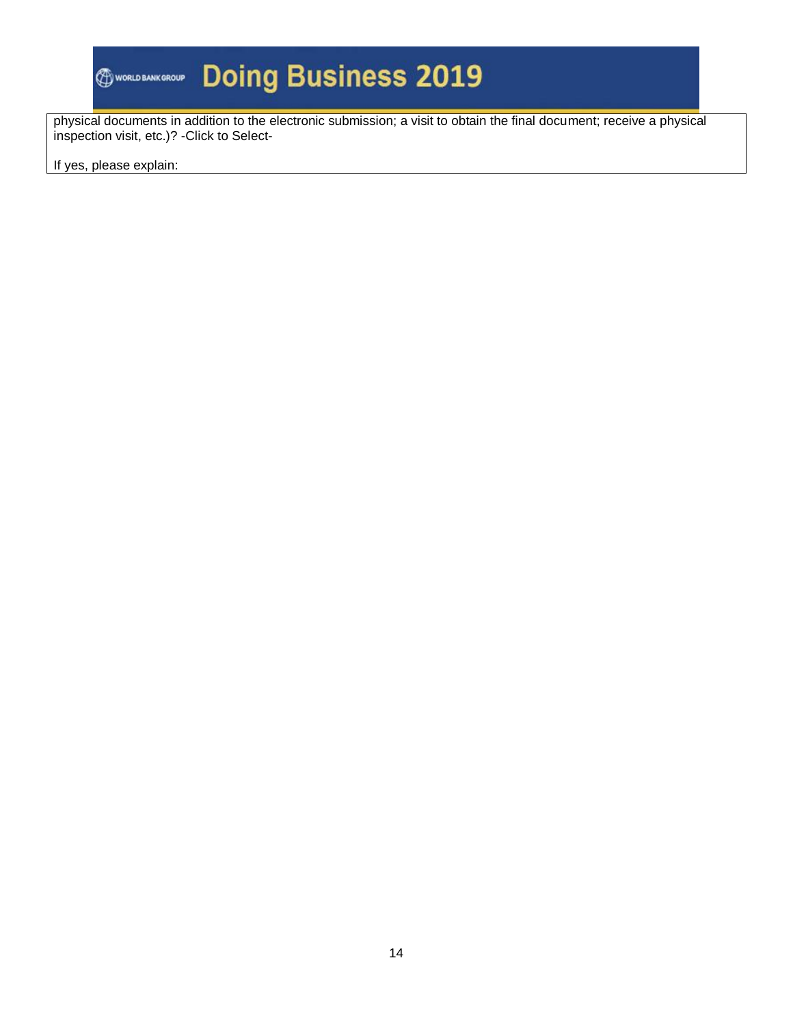# **Doing Business 2019**

physical documents in addition to the electronic submission; a visit to obtain the final document; receive a physical inspection visit, etc.)? -Click to Select-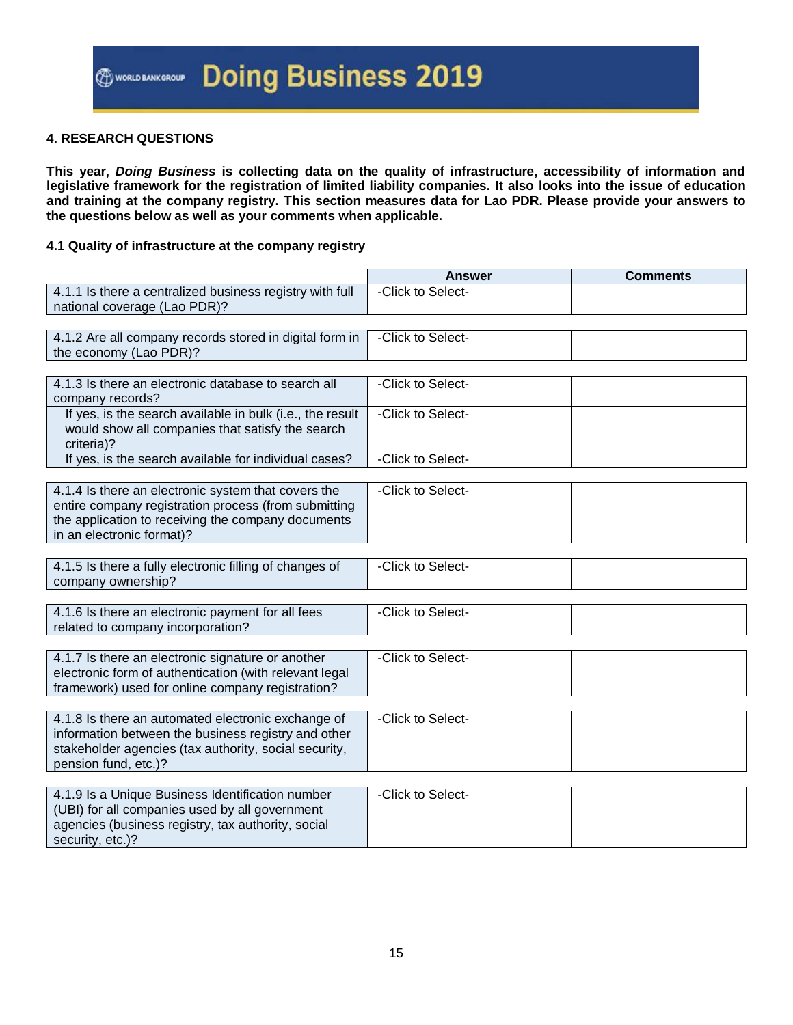#### **4. RESEARCH QUESTIONS**

**This year,** *Doing Business* **is collecting data on the quality of infrastructure, accessibility of information and legislative framework for the registration of limited liability companies. It also looks into the issue of education and training at the company registry. This section measures data for Lao PDR. Please provide your answers to the questions below as well as your comments when applicable.**

#### **4.1 Quality of infrastructure at the company registry**

|                                                                                                                                                                                                | <b>Answer</b>     | <b>Comments</b> |
|------------------------------------------------------------------------------------------------------------------------------------------------------------------------------------------------|-------------------|-----------------|
| 4.1.1 Is there a centralized business registry with full<br>national coverage (Lao PDR)?                                                                                                       | -Click to Select- |                 |
|                                                                                                                                                                                                |                   |                 |
| 4.1.2 Are all company records stored in digital form in<br>the economy (Lao PDR)?                                                                                                              | -Click to Select- |                 |
|                                                                                                                                                                                                |                   |                 |
| 4.1.3 Is there an electronic database to search all<br>company records?                                                                                                                        | -Click to Select- |                 |
| If yes, is the search available in bulk (i.e., the result<br>would show all companies that satisfy the search<br>criteria)?                                                                    | -Click to Select- |                 |
| If yes, is the search available for individual cases?                                                                                                                                          | -Click to Select- |                 |
|                                                                                                                                                                                                |                   |                 |
| 4.1.4 Is there an electronic system that covers the<br>entire company registration process (from submitting<br>the application to receiving the company documents<br>in an electronic format)? | -Click to Select- |                 |
|                                                                                                                                                                                                |                   |                 |
| 4.1.5 Is there a fully electronic filling of changes of<br>company ownership?                                                                                                                  | -Click to Select- |                 |
|                                                                                                                                                                                                |                   |                 |
| 4.1.6 Is there an electronic payment for all fees<br>related to company incorporation?                                                                                                         | -Click to Select- |                 |
|                                                                                                                                                                                                |                   |                 |
| 4.1.7 Is there an electronic signature or another<br>electronic form of authentication (with relevant legal<br>framework) used for online company registration?                                | -Click to Select- |                 |
|                                                                                                                                                                                                |                   |                 |
| 4.1.8 Is there an automated electronic exchange of<br>information between the business registry and other<br>stakeholder agencies (tax authority, social security,<br>pension fund, etc.)?     | -Click to Select- |                 |
|                                                                                                                                                                                                |                   |                 |
| 4.1.9 Is a Unique Business Identification number<br>(UBI) for all companies used by all government<br>agencies (business registry, tax authority, social<br>security, etc.)?                   | -Click to Select- |                 |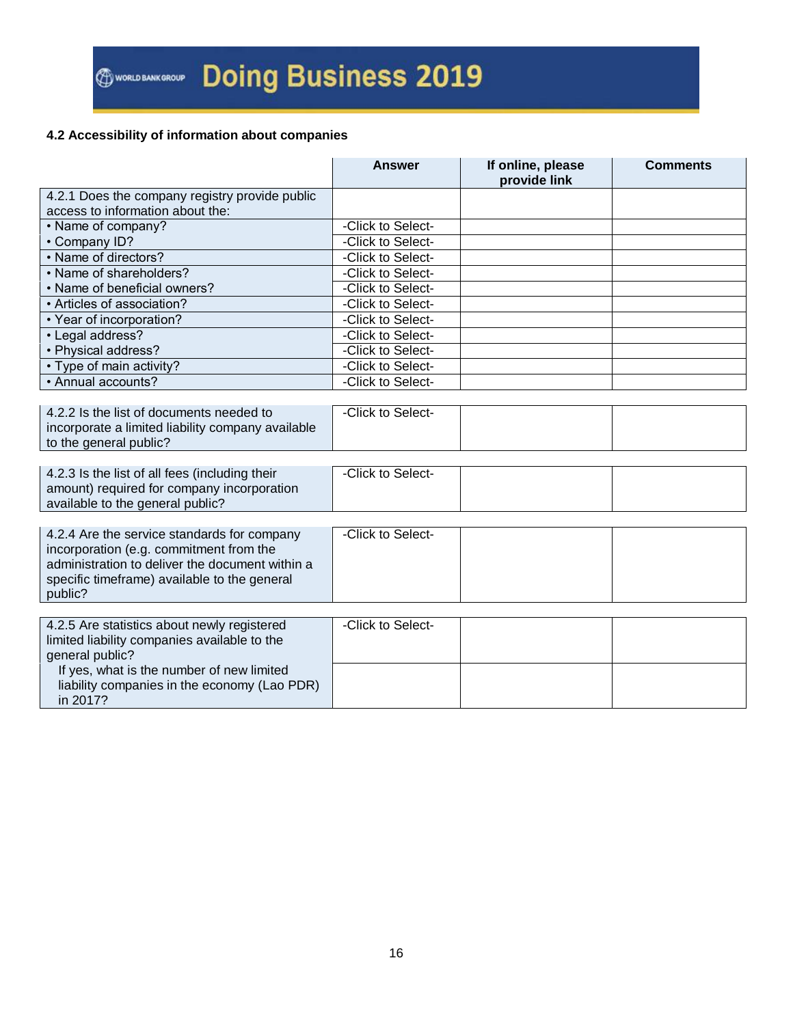#### **4.2 Accessibility of information about companies**

|                                                   | <b>Answer</b>     | If online, please<br>provide link | <b>Comments</b> |
|---------------------------------------------------|-------------------|-----------------------------------|-----------------|
| 4.2.1 Does the company registry provide public    |                   |                                   |                 |
| access to information about the:                  |                   |                                   |                 |
| • Name of company?                                | -Click to Select- |                                   |                 |
| • Company ID?                                     | -Click to Select- |                                   |                 |
| • Name of directors?                              | -Click to Select- |                                   |                 |
| • Name of shareholders?                           | -Click to Select- |                                   |                 |
| • Name of beneficial owners?                      | -Click to Select- |                                   |                 |
| • Articles of association?                        | -Click to Select- |                                   |                 |
| • Year of incorporation?                          | -Click to Select- |                                   |                 |
| • Legal address?                                  | -Click to Select- |                                   |                 |
| • Physical address?                               | -Click to Select- |                                   |                 |
| • Type of main activity?                          | -Click to Select- |                                   |                 |
| • Annual accounts?                                | -Click to Select- |                                   |                 |
|                                                   |                   |                                   |                 |
| 4.2.2 Is the list of documents needed to          | -Click to Select- |                                   |                 |
| incorporate a limited liability company available |                   |                                   |                 |
| to the general public?                            |                   |                                   |                 |
|                                                   |                   |                                   |                 |
| 4.2.3 Is the list of all fees (including their    | -Click to Select- |                                   |                 |
| amount) required for company incorporation        |                   |                                   |                 |
| available to the general public?                  |                   |                                   |                 |
|                                                   |                   |                                   |                 |
| 4.2.4 Are the service standards for company       | -Click to Select- |                                   |                 |
| incorporation (e.g. commitment from the           |                   |                                   |                 |
| administration to deliver the document within a   |                   |                                   |                 |
| specific timeframe) available to the general      |                   |                                   |                 |
| public?                                           |                   |                                   |                 |
|                                                   |                   |                                   |                 |
| 4.2.5 Are statistics about newly registered       | -Click to Select- |                                   |                 |
| limited liability companies available to the      |                   |                                   |                 |
| general public?                                   |                   |                                   |                 |
| If yes, what is the number of new limited         |                   |                                   |                 |
| liability companies in the economy (Lao PDR)      |                   |                                   |                 |
| in 2017?                                          |                   |                                   |                 |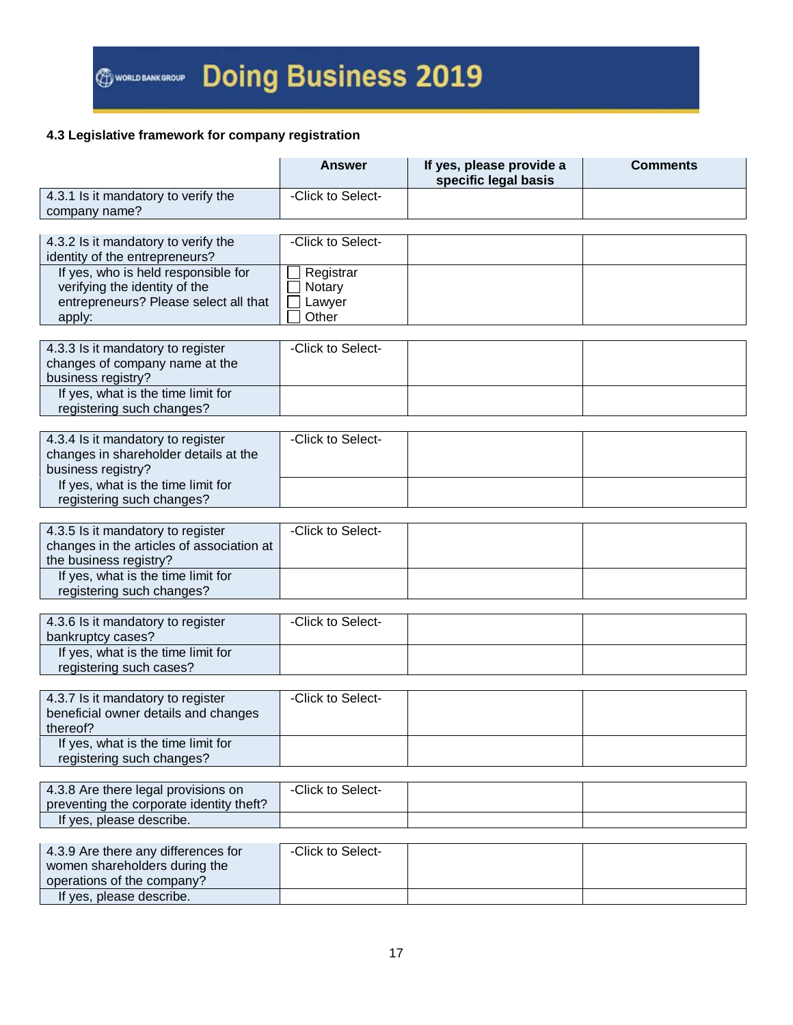#### **4.3 Legislative framework for company registration**

|                                                                     | Answer              | If yes, please provide a<br>specific legal basis | <b>Comments</b> |
|---------------------------------------------------------------------|---------------------|--------------------------------------------------|-----------------|
| 4.3.1 Is it mandatory to verify the<br>company name?                | -Click to Select-   |                                                  |                 |
|                                                                     |                     |                                                  |                 |
| 4.3.2 Is it mandatory to verify the                                 | -Click to Select-   |                                                  |                 |
| identity of the entrepreneurs?                                      |                     |                                                  |                 |
| If yes, who is held responsible for                                 |                     |                                                  |                 |
| verifying the identity of the                                       | Registrar<br>Notary |                                                  |                 |
| entrepreneurs? Please select all that                               | Lawyer              |                                                  |                 |
|                                                                     | Other               |                                                  |                 |
| apply:                                                              |                     |                                                  |                 |
|                                                                     | -Click to Select-   |                                                  |                 |
| 4.3.3 Is it mandatory to register                                   |                     |                                                  |                 |
| changes of company name at the<br>business registry?                |                     |                                                  |                 |
| If yes, what is the time limit for                                  |                     |                                                  |                 |
|                                                                     |                     |                                                  |                 |
| registering such changes?                                           |                     |                                                  |                 |
| 4.3.4 Is it mandatory to register                                   | -Click to Select-   |                                                  |                 |
| changes in shareholder details at the                               |                     |                                                  |                 |
|                                                                     |                     |                                                  |                 |
| business registry?                                                  |                     |                                                  |                 |
| If yes, what is the time limit for                                  |                     |                                                  |                 |
| registering such changes?                                           |                     |                                                  |                 |
|                                                                     | -Click to Select-   |                                                  |                 |
| 4.3.5 Is it mandatory to register                                   |                     |                                                  |                 |
| changes in the articles of association at<br>the business registry? |                     |                                                  |                 |
| If yes, what is the time limit for                                  |                     |                                                  |                 |
| registering such changes?                                           |                     |                                                  |                 |
|                                                                     |                     |                                                  |                 |
| 4.3.6 Is it mandatory to register                                   | -Click to Select-   |                                                  |                 |
| bankruptcy cases?                                                   |                     |                                                  |                 |
| If yes, what is the time limit for                                  |                     |                                                  |                 |
| registering such cases?                                             |                     |                                                  |                 |
|                                                                     |                     |                                                  |                 |
| 4.3.7 Is it mandatory to register                                   | -Click to Select-   |                                                  |                 |
| beneficial owner details and changes                                |                     |                                                  |                 |
| thereof?                                                            |                     |                                                  |                 |
| If yes, what is the time limit for                                  |                     |                                                  |                 |
| registering such changes?                                           |                     |                                                  |                 |
|                                                                     |                     |                                                  |                 |
| 4.3.8 Are there legal provisions on                                 | -Click to Select-   |                                                  |                 |
| preventing the corporate identity theft?                            |                     |                                                  |                 |
| If yes, please describe.                                            |                     |                                                  |                 |
|                                                                     |                     |                                                  |                 |
| 4.3.9 Are there any differences for                                 | -Click to Select-   |                                                  |                 |
| women shareholders during the                                       |                     |                                                  |                 |
| operations of the company?                                          |                     |                                                  |                 |
| If yes, please describe.                                            |                     |                                                  |                 |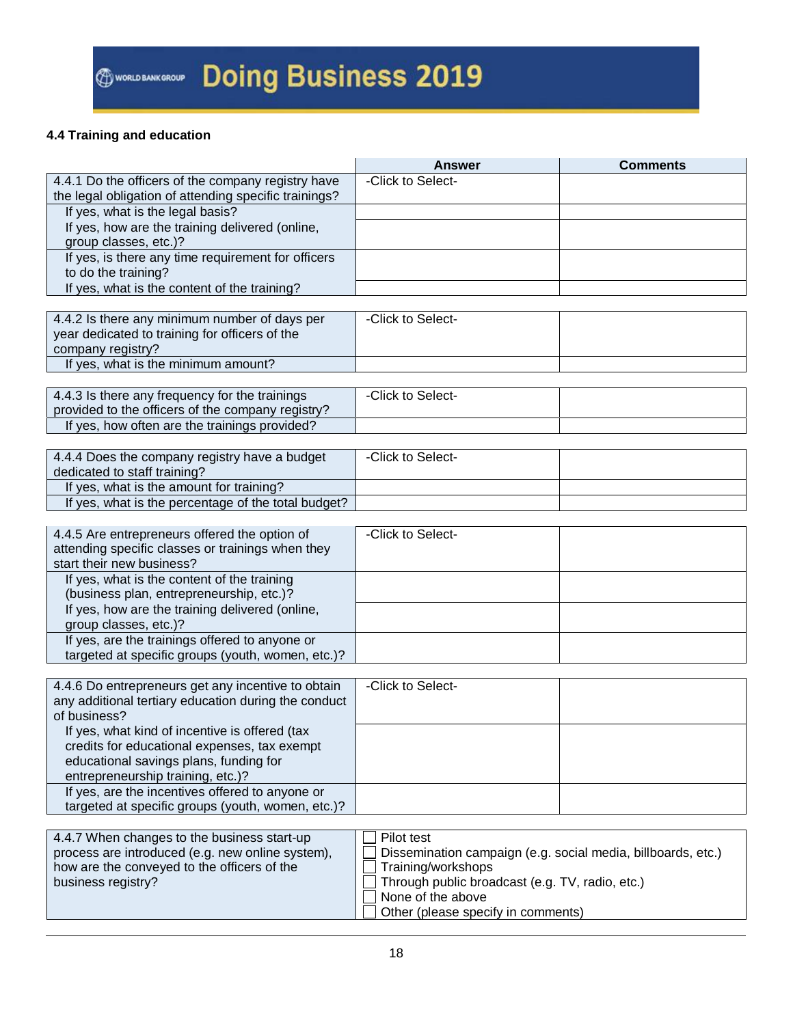### **4.4 Training and education**

|                                                                   | <b>Answer</b>                                                | <b>Comments</b> |
|-------------------------------------------------------------------|--------------------------------------------------------------|-----------------|
| 4.4.1 Do the officers of the company registry have                | -Click to Select-                                            |                 |
| the legal obligation of attending specific trainings?             |                                                              |                 |
| If yes, what is the legal basis?                                  |                                                              |                 |
| If yes, how are the training delivered (online,                   |                                                              |                 |
| group classes, etc.)?                                             |                                                              |                 |
| If yes, is there any time requirement for officers                |                                                              |                 |
| to do the training?                                               |                                                              |                 |
| If yes, what is the content of the training?                      |                                                              |                 |
|                                                                   |                                                              |                 |
| 4.4.2 Is there any minimum number of days per                     | -Click to Select-                                            |                 |
| year dedicated to training for officers of the                    |                                                              |                 |
| company registry?                                                 |                                                              |                 |
| If yes, what is the minimum amount?                               |                                                              |                 |
|                                                                   |                                                              |                 |
| 4.4.3 Is there any frequency for the trainings                    | -Click to Select-                                            |                 |
| provided to the officers of the company registry?                 |                                                              |                 |
| If yes, how often are the trainings provided?                     |                                                              |                 |
|                                                                   |                                                              |                 |
| 4.4.4 Does the company registry have a budget                     | -Click to Select-                                            |                 |
| dedicated to staff training?                                      |                                                              |                 |
| If yes, what is the amount for training?                          |                                                              |                 |
| If yes, what is the percentage of the total budget?               |                                                              |                 |
|                                                                   |                                                              |                 |
| 4.4.5 Are entrepreneurs offered the option of                     | -Click to Select-                                            |                 |
| attending specific classes or trainings when they                 |                                                              |                 |
| start their new business?                                         |                                                              |                 |
| If yes, what is the content of the training                       |                                                              |                 |
| (business plan, entrepreneurship, etc.)?                          |                                                              |                 |
| If yes, how are the training delivered (online,                   |                                                              |                 |
| group classes, etc.)?                                             |                                                              |                 |
| If yes, are the trainings offered to anyone or                    |                                                              |                 |
| targeted at specific groups (youth, women, etc.)?                 |                                                              |                 |
|                                                                   |                                                              |                 |
| 4.4.6 Do entrepreneurs get any incentive to obtain                | -Click to Select-                                            |                 |
| any additional tertiary education during the conduct              |                                                              |                 |
| of business?                                                      |                                                              |                 |
| If yes, what kind of incentive is offered (tax                    |                                                              |                 |
| credits for educational expenses, tax exempt                      |                                                              |                 |
| educational savings plans, funding for                            |                                                              |                 |
| entrepreneurship training, etc.)?                                 |                                                              |                 |
| If yes, are the incentives offered to anyone or                   |                                                              |                 |
| targeted at specific groups (youth, women, etc.)?                 |                                                              |                 |
|                                                                   |                                                              |                 |
| 4.4.7 When changes to the business start-up                       | Pilot test                                                   |                 |
| process are introduced (e.g. new online system),                  | Dissemination campaign (e.g. social media, billboards, etc.) |                 |
| how are the conveyed to the officers of the<br>Training/workshops |                                                              |                 |
| business registry?                                                | Through public broadcast (e.g. TV, radio, etc.)              |                 |
|                                                                   | None of the above                                            |                 |
|                                                                   | Other (please specify in comments)                           |                 |